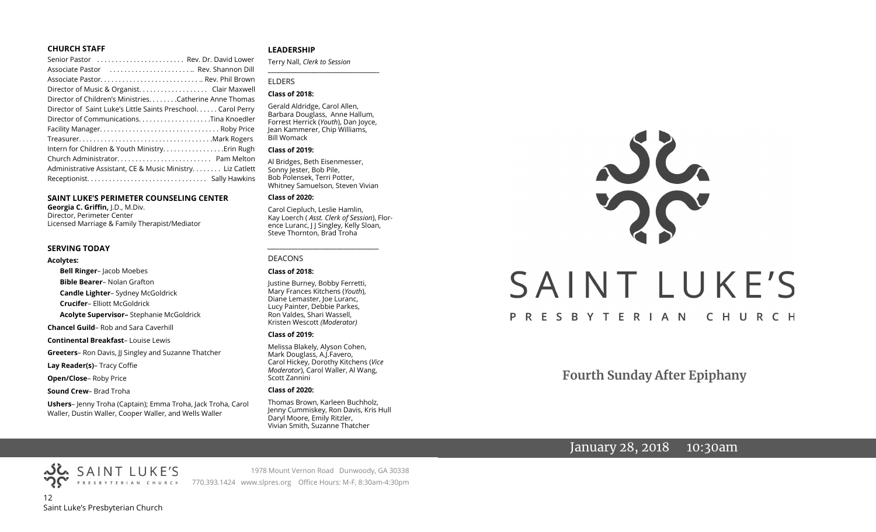#### **CHURCH STAFF**

| Senior Pastor  Rev. Dr. David Lower                          |  |
|--------------------------------------------------------------|--|
| Associate Pastor  Rev. Shannon Dill                          |  |
|                                                              |  |
| Director of Music & Organist. Clair Maxwell                  |  |
| Director of Children's Ministries. Catherine Anne Thomas     |  |
| Director of Saint Luke's Little Saints Preschool Carol Perry |  |
|                                                              |  |
|                                                              |  |
|                                                              |  |
|                                                              |  |
|                                                              |  |
| Administrative Assistant, CE & Music Ministry Liz Catlett    |  |
|                                                              |  |
|                                                              |  |

#### **SAINT LUKE'S PERIMETER COUNSELING CENTER**

**Georgia C. Griffin,** J.D., M.Div. Director, Perimeter Center Licensed Marriage & Family Therapist/Mediator

#### **SERVING TODAY**

#### **Acolytes:**

**Bell Ringer**– Jacob Moebes

**Bible Bearer**– Nolan Grafton

**Candle Lighter**– Sydney McGoldrick

**Crucifer**– Elliott McGoldrick

**Acolyte Supervisor–** Stephanie McGoldrick

**Chancel Guild**– Rob and Sara Caverhill

**Continental Breakfast**– Louise Lewis

**Greeters**– Ron Davis, JJ Singley and Suzanne Thatcher

**Lay Reader(s)**– Tracy Coffie

**Open/Close**– Roby Price

**Sound Crew**– Brad Troha

**Ushers**– Jenny Troha (Captain); Emma Troha, Jack Troha, Carol Waller, Dustin Waller, Cooper Waller, and Wells Waller

#### **LEADERSHIP**

Terry Nall, *Clerk to Session*  **\_\_\_\_\_\_\_\_\_\_\_\_\_\_\_\_\_\_\_\_\_\_\_\_\_\_\_\_\_\_\_\_\_\_\_\_\_\_\_**

#### ELDERS

#### **Class of 2018:**

Gerald Aldridge, Carol Allen, Barbara Douglass, Anne Hallum, Forrest Herrick (*Youth*), Dan Joyce, Jean Kammerer, Chip Williams, Bill Womack

#### **Class of 2019:**

Al Bridges, Beth Eisenmesser, Sonny Jester, Bob Pile, Bob Polensek, Terri Potter, Whitney Samuelson, Steven Vivian

#### **Class of 2020:**

Carol Ciepluch, Leslie Hamlin, Kay Loerch ( *Asst. Clerk of Session*), Florence Luranc, J J Singley, Kelly Sloan, Steve Thornton, Brad Troha

*\_\_\_\_\_\_\_\_\_\_\_\_\_\_\_\_\_\_\_\_\_\_\_\_\_\_\_\_\_\_\_\_\_\_\_\_\_*

#### DEACONS

#### **Class of 2018:**

Justine Burney, Bobby Ferretti, Mary Frances Kitchens (*Youth*), Diane Lemaster, Joe Luranc, Lucy Painter, Debbie Parkes, Ron Valdes, Shari Wassell, Kristen Wescott *(Moderator)*

#### **Class of 2019:**

Melissa Blakely, Alyson Cohen, Mark Douglass, A.J.Favero, Carol Hickey, Dorothy Kitchens (*Vice Moderator*), Carol Waller, Al Wang, Scott Zannini

#### **Class of 2020:**

Thomas Brown, Karleen Buchholz, Jenny Cummiskey, Ron Davis, Kris Hull Daryl Moore, Emily Ritzler, Vivian Smith, Suzanne Thatcher

1978 Mount Vernon Road Dunwoody, GA 30338

# JC. SAINT LUKE'S PRESBYTERIAN CHURCH

**Fourth Sunday After Epiphany**

# January 28, 2018 10:30am

12 Saint Luke's Presbyterian Church PRESBYTERIAN CHURCH 770.393.1424 www.slpres.org Office Hours: M-F, 8:30am-4:30pm

SAINT LUKE'S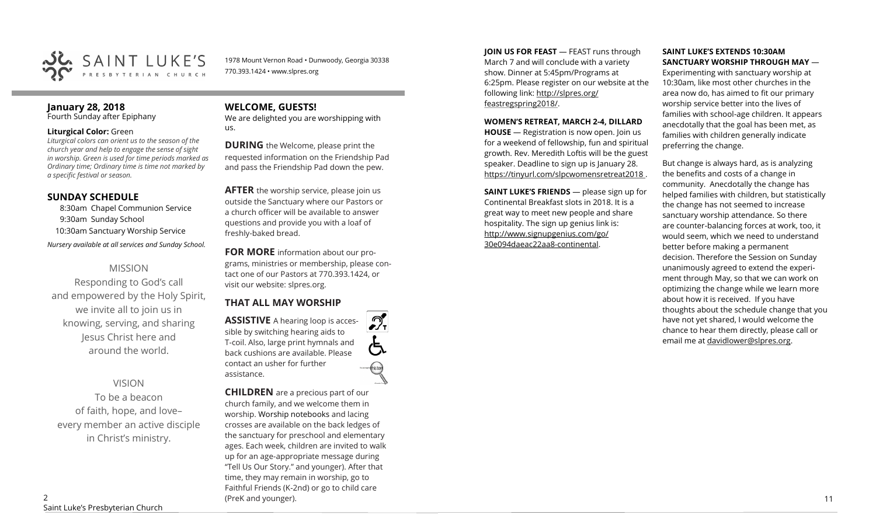

1978 Mount Vernon Road • Dunwoody, Georgia 30338 770.393.1424 • www.slpres.org

#### **January 28, 2018**  Fourth Sunday after Epiphany

#### **Liturgical Color:** Green

*Liturgical colors can orient us to the season of the church year and help to engage the sense of sight in worship. Green is used for time periods marked as Ordinary time; Ordinary time is time not marked by a specific festival or season.*

# **SUNDAY SCHEDULE**

8:30am Chapel Communion Service 9:30am Sunday School 10:30am Sanctuary Worship Service

*Nursery available at all services and Sunday School.* 

# MISSION

Responding to God's call and empowered by the Holy Spirit, we invite all to join us in knowing, serving, and sharing Jesus Christ here and around the world.

# VISION

To be a beacon of faith, hope, and love– every member an active disciple in Christ's ministry.

# **WELCOME, GUESTS!**

We are delighted you are worshipping with us.

**DURING** the Welcome, please print the requested information on the Friendship Pad and pass the Friendship Pad down the pew.

**AFTER** the worship service, please join us outside the Sanctuary where our Pastors or a church officer will be available to answer questions and provide you with a loaf of freshly-baked bread.

**FOR MORE** information about our programs, ministries or membership, please contact one of our Pastors at 770.393.1424, or visit our website: slpres.org.

 $\mathcal{D}_{\mathrm{r}}$ 

# **THAT ALL MAY WORSHIP**

**ASSISTIVE** A hearing loop is accessible by switching hearing aids to T-coil. Also, large print hymnals and back cushions are available. Please contact an usher for further assistance.

**CHILDREN** are a precious part of our church family, and we welcome them in worship. Worship notebooks and lacing crosses are available on the back ledges of the sanctuary for preschool and elementary ages. Each week, children are invited to walk up for an age-appropriate message during "Tell Us Our Story." and younger). After that time, they may remain in worship, go to Faithful Friends (K-2nd) or go to child care (PreK and younger). 2011 11

**JOIN US FOR FEAST** — FEAST runs through March 7 and will conclude with a variety show. Dinner at 5:45pm/Programs at 6:25pm. Please register on our website at the following link: [http://slpres.org/](http://slpres.org/feastregspring2018/) [feastregspring2018/.](http://slpres.org/feastregspring2018/)

#### **WOMEN'S RETREAT, MARCH 2-4, DILLARD**

**HOUSE** — Registration is now open. Join us for a weekend of fellowship, fun and spiritual growth. Rev. Meredith Loftis will be the guest speaker. Deadline to sign up is January 28. https://tinyurl.com/slpcwomensretreat2018 .

**SAINT LUKE'S FRIENDS** — please sign up for Continental Breakfast slots in 2018. It is a great way to meet new people and share hospitality. The sign up genius link is: <http://www.signupgenius.com/go/> 30e094daeac22aa8-continental.

#### **SAINT LUKE'S EXTENDS 10:30AM SANCTUARY WORSHIP THROUGH MAY** —

Experimenting with sanctuary worship at 10:30am, like most other churches in the area now do, has aimed to fit our primary worship service better into the lives of families with school-age children. It appears anecdotally that the goal has been met, as families with children generally indicate preferring the change.

But change is always hard, as is analyzing the benefits and costs of a change in community. Anecdotally the change has helped families with children, but statistically the change has not seemed to increase sanctuary worship attendance. So there are counter-balancing forces at work, too, it would seem, which we need to understand better before making a permanent decision. Therefore the Session on Sunday unanimously agreed to extend the experiment through May, so that we can work on optimizing the change while we learn more about how it is received. If you have thoughts about the schedule change that you have not yet shared, I would welcome the chance to hear them directly, please call or email me at [davidlower@slpres.org.](mailto:davidlower@slpres.org)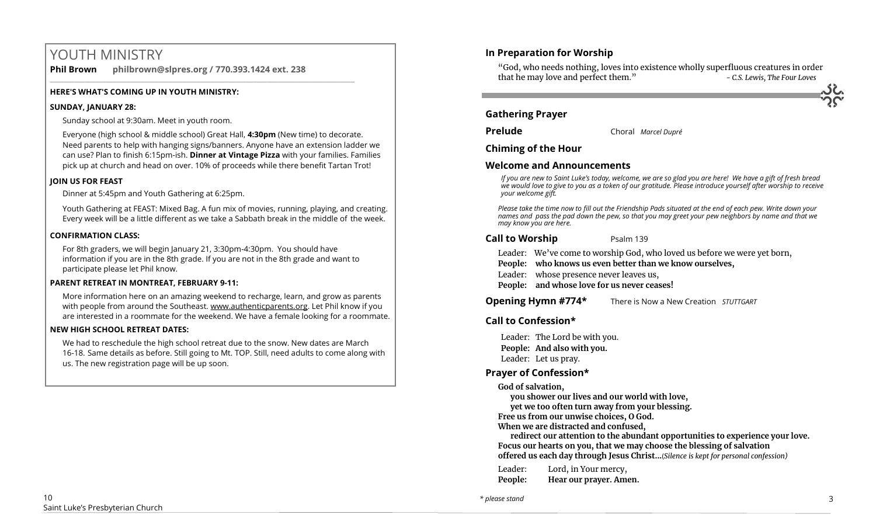# YOUTH MINISTRY

**Phil Brown philbrown@slpres.org / 770.393.1424 ext. 238** 

\_\_\_\_\_\_\_\_\_\_\_\_\_\_\_\_\_\_\_\_\_\_\_\_\_\_\_\_\_\_\_\_\_\_\_\_\_\_\_\_\_\_\_\_\_\_\_\_\_\_\_\_\_\_\_\_\_\_\_\_\_\_\_\_\_\_\_\_\_\_\_\_\_\_\_\_\_\_\_\_\_\_\_\_\_\_\_

# **HERE'S WHAT'S COMING UP IN YOUTH MINISTRY:**

#### **SUNDAY, JANUARY 28:**

Sunday school at 9:30am. Meet in youth room.

Everyone (high school & middle school) Great Hall, **4:30pm** (New time) to decorate. Need parents to help with hanging signs/banners. Anyone have an extension ladder we can use? Plan to finish 6:15pm-ish. **Dinner at Vintage Pizza** with your families. Families pick up at church and head on over. 10% of proceeds while there benefit Tartan Trot!

# **JOIN US FOR FEAST**

Dinner at 5:45pm and Youth Gathering at 6:25pm.

Youth Gathering at FEAST: Mixed Bag. A fun mix of movies, running, playing, and creating. Every week will be a little different as we take a Sabbath break in the middle of the week.

# **CONFIRMATION CLASS:**

For 8th graders, we will begin January 21, 3:30pm-4:30pm. You should have information if you are in the 8th grade. If you are not in the 8th grade and want to participate please let Phil know.

# **PARENT RETREAT IN MONTREAT, FEBRUARY 9-11:**

[More information here](https://www.authenticparents.org/) on an amazing weekend to recharge, learn, and grow as parents with people from around the Southeast. [www.authenticparents.org.](http://www.authenticparents.org/) Let Phil know if you are interested in a roommate for the weekend. We have a female looking for a roommate.

# **NEW HIGH SCHOOL RETREAT DATES:**

We had to reschedule the high school retreat due to the snow. New dates are March 16-18. Same details as before. Still going to Mt. TOP. Still, need adults to come along with us. The new registration page will be up soon.

# **In Preparation for Worship**

"God, who needs nothing, loves into existence wholly superfluous creatures in order that he may love and perfect them." *- C.S. Lewis, The Four Loves*

**Gathering Prayer**

**Prelude** Choral *Marcel Dupré*

**Chiming of the Hour**

# **Welcome and Announcements**

*If you are new to Saint Luke's today, welcome, we are so glad you are here! We have a gift of fresh bread we would love to give to you as a token of our gratitude. Please introduce yourself after worship to receive your welcome gift.*

*Please take the time now to fill out the Friendship Pads situated at the end of each pew. Write down your names and pass the pad down the pew, so that you may greet your pew neighbors by name and that we may know you are here.*

# **Call to Worship** Psalm 139

- Leader: We've come to worship God, who loved us before we were yet born,
- **People: who knows us even better than we know ourselves,**
- Leader: whose presence never leaves us,
- **People: and whose love for us never ceases!**

**Opening Hymn #774\*** There is Now a New Creation *STUTTGART* 

# **Call to Confession\***

Leader: The Lord be with you. **People: And also with you.** Leader: Let us pray.

# **Prayer of Confession\***

**God of salvation,** 

**you shower our lives and our world with love,** 

**yet we too often turn away from your blessing.** 

**Free us from our unwise choices, O God.** 

**When we are distracted and confused,** 

**redirect our attention to the abundant opportunities to experience your love. Focus our hearts on you, that we may choose the blessing of salvation offered us each day through Jesus Christ...**(*Silence is kept for personal confession)* 

| Leader: | Lord, in Your mercy,   |
|---------|------------------------|
| People: | Hear our prayer. Amen. |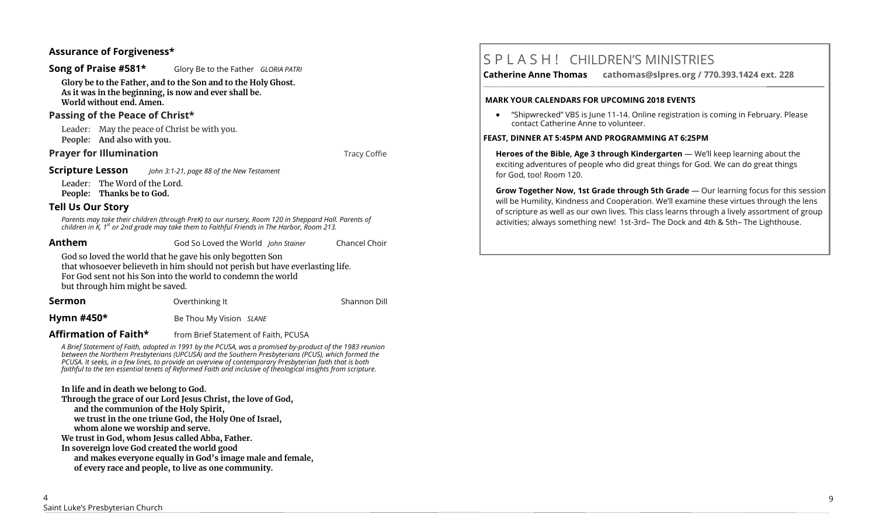# **Assurance of Forgiveness\***

#### **Song of Praise #581\*** Glory Be to the Father *GLORIA PATRI*

**Glory be to the Father, and to the Son and to the Holy Ghost. As it was in the beginning, is now and ever shall be. World without end. Amen.** 

# **Passing of the Peace of Christ\***

Leader: May the peace of Christ be with you. **People: And also with you.** 

# **Prayer for Illumination Tracy Coffie Tracy Coffie**

#### **Scripture Lesson** *John 3:1-21, page 88 of the New Testament*

Leader: The Word of the Lord. **People: Thanks be to God.**

# **Tell Us Our Story**

Parents may take their children (through PreK) to our nursery, Room 120 in Sheppard Hall. Parents of<br>children in K, 1<sup>st</sup> or 2nd grade may take them to Faithful Friends in The Harbor, Room 213.

**Anthem** God So Loved the World *John Stainer* Chancel Choir

God so loved the world that he gave his only begotten Son that whosoever believeth in him should not perish but have everlasting life. For God sent not his Son into the world to condemn the world but through him might be saved.

**Sermon Conserverthing It Conserverthing It** Shannon Dill **Hymn #450\*** Be Thou My Vision *SLANE*

# **Affirmation of Faith\*** from Brief Statement of Faith, PCUSA

*A Brief Statement of Faith, adopted in 1991 by the PCUSA, was a promised by-product of the 1983 reunion between the Northern Presbyterians (UPCUSA) and the Southern Presbyterians (PCUS), which formed the PCUSA. It seeks, in a few lines, to provide an overview of contemporary Presbyterian faith that is both faithful to the ten essential tenets of Reformed Faith and inclusive of theological insights from scripture.*

# **In life and in death we belong to God.**

**Through the grace of our Lord Jesus Christ, the love of God, and the communion of the Holy Spirit, we trust in the one triune God, the Holy One of Israel, whom alone we worship and serve. We trust in God, whom Jesus called Abba, Father. In sovereign love God created the world good and makes everyone equally in God's image male and female, of every race and people, to live as one community.**

**Catherine Anne Thomas cathomas@slpres.org / 770.393.1424 ext. 228** 

#### **MARK YOUR CALENDARS FOR UPCOMING 2018 EVENTS**

• "Shipwrecked" VBS is June 11-14. Online registration is coming in February. Please contact Catherine Anne to volunteer.

**\_\_\_\_\_\_\_\_\_\_\_\_\_\_\_\_\_\_\_\_\_\_\_\_\_\_\_\_\_\_\_\_\_\_\_\_\_\_\_\_\_\_\_\_\_\_\_\_\_\_\_\_\_\_\_\_\_\_\_\_\_\_\_\_\_\_\_\_\_\_\_\_\_\_\_\_\_\_\_\_\_\_\_\_\_\_\_\_\_\_\_\_\_\_\_\_\_\_\_\_\_\_\_\_\_\_** 

#### **FEAST, DINNER AT 5:45PM AND PROGRAMMING AT 6:25PM**

**Heroes of the Bible, Age 3 through Kindergarten** — We'll keep learning about the exciting adventures of people who did great things for God. We can do great things for God, too! Room 120.

**Grow Together Now, 1st Grade through 5th Grade** — Our learning focus for this session will be Humility, Kindness and Cooperation. We'll examine these virtues through the lens of scripture as well as our own lives. This class learns through a lively assortment of group activities; always something new! 1st-3rd– The Dock and 4th & 5th– The Lighthouse.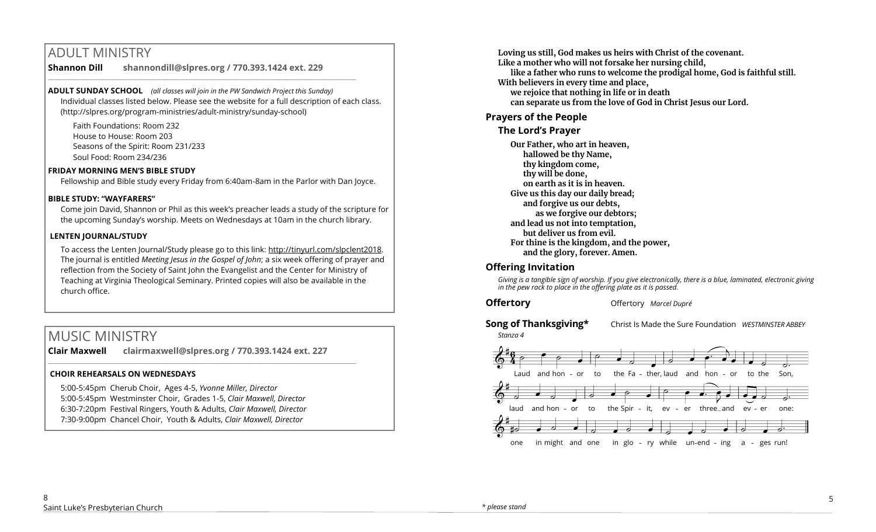# ADULT MINISTRY

**Shannon Dill shannondill@slpres.org / 770.393.1424 ext. 229**  \_\_\_\_\_\_\_\_\_\_\_\_\_\_\_\_\_\_\_\_\_\_\_\_\_\_\_\_\_\_\_\_\_\_\_\_\_\_\_\_\_\_\_\_\_\_\_\_\_\_\_\_\_\_\_\_\_\_\_\_\_\_\_\_\_\_\_\_\_\_\_\_\_\_\_\_\_\_\_\_\_\_\_\_\_\_\_\_

**ADULT SUNDAY SCHOOL** *(all classes will join in the PW Sandwich Project this Sunday)*  Individual classes listed below. Please see the website for a full description of each class. (http://slpres.org/program-ministries/adult-ministry/sunday-school)

Faith Foundations: Room 232 House to House: Room 203 Seasons of the Spirit: Room 231/233 Soul Food: Room 234/236

#### **FRIDAY MORNING MEN'S BIBLE STUDY**

Fellowship and Bible study every Friday from 6:40am-8am in the Parlor with Dan Joyce.

#### **BIBLE STUDY: "WAYFARERS"**

Come join David, Shannon or Phil as this week's preacher leads a study of the scripture for the upcoming Sunday's worship. Meets on Wednesdays at 10am in the church library.

#### **LENTEN JOURNAL/STUDY**

To access the Lenten Journal/Study please go to this link: http://tinyurl.com/slpclent2018. The journal is entitled *Meeting Jesus in the Gospel of John*; a six week offering of prayer and reflection from the Society of Saint John the Evangelist and the Center for Ministry of Teaching at Virginia Theological Seminary. Printed copies will also be available in the church office.

# MUSIC MINISTRY

**Clair Maxwell clairmaxwell@slpres.org / 770.393.1424 ext. 227** 

 $\_$  , and the set of the set of the set of the set of the set of the set of the set of the set of the set of the set of the set of the set of the set of the set of the set of the set of the set of the set of the set of th

#### **CHOIR REHEARSALS ON WEDNESDAYS**

5:00-5:45pm Cherub Choir, Ages 4-5, *Yvonne Miller, Director*  5:00-5:45pm Westminster Choir, Grades 1-5, *Clair Maxwell, Director*  6:30-7:20pm Festival Ringers, Youth & Adults, *Clair Maxwell, Director*  7:30-9:00pm Chancel Choir, Youth & Adults, *Clair Maxwell, Director* 

**Loving us still, God makes us heirs with Christ of the covenant. Like a mother who will not forsake her nursing child, like a father who runs to welcome the prodigal home, God is faithful still. With believers in every time and place, we rejoice that nothing in life or in death can separate us from the love of God in Christ Jesus our Lord.**

# **Prayers of the People**

# **The Lord's Prayer**

**Our Father, who art in heaven, hallowed be thy Name, thy kingdom come, thy will be done, on earth as it is in heaven. Give us this day our daily bread; and forgive us our debts, as we forgive our debtors; and lead us not into temptation, but deliver us from evil. For thine is the kingdom, and the power, and the glory, forever. Amen.** 

# **Offering Invitation**

*Giving is a tangible sign of worship. If you give electronically, there is a blue, laminated, electronic giving in the pew rack to place in the offering plate as it is passed.*

**Offertory Offertory** *Marcel Dupré* 

*Stanza 4*

**Song of Thanksgiving\*** Christ Is Made the Sure Foundation *WESTMINSTER ABBEY*